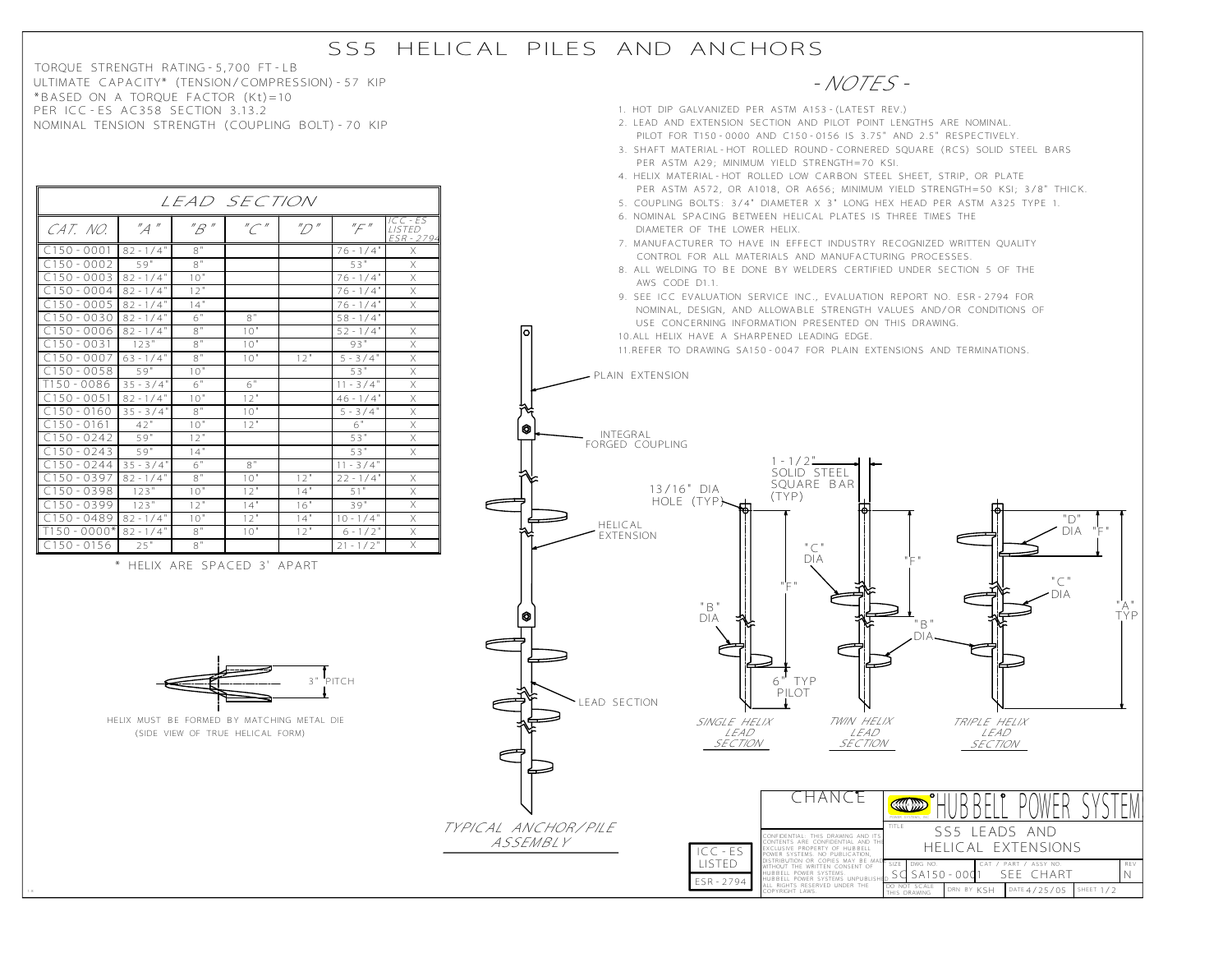## SS5 HELICAL PILES AND ANCHORS

TORQUE STRENGTH RATING-5,700 FT-LB ULTIMATE CAPACITY\* (TENSION/COMPRESSION)-57 KIP \*BASED ON A TORQUE FACTOR (Kt)=10 PER ICC-ES AC358 SECTION 3.13.2 NOMINAL TENSION STRENGTH (COUPLING BOLT)-70 KIP

|--|



- PER ASTM A572, OR A1018, OR A656; MINIMUM YIELD STRENGTH=50 KSI; 3/8" THICK. 5. COUPLING BOLTS: 3/4" DIAMETER X 3" LONG HEX HEAD PER ASTM A325 TYPE 1.
- 6. NOMINAL SPACING BETWEEN HELICAL PLATES IS THREE TIMES THE DIAMETER OF THE LOWER HELIX.
- 7. MANUFACTURER TO HAVE IN EFFECT INDUSTRY RECOGNIZED WRITTEN QUALITY CONTROL FOR ALL MATERIALS AND MANUFACTURING PROCESSES.
- 8. ALL WELDING TO BE DONE BY WELDERS CERTIFIED UNDER SECTION 5 OF THE AWS CODE D1.1.
- 9. SEE ICC EVALUATION SERVICE INC., EVALUATION REPORT NO. ESR-2794 FOR NOMINAL, DESIGN, AND ALLOWABLE STRENGTH VALUES AND/OR CONDITIONS OF USE CONCERNING INFORMATION PRESENTED ON THIS DRAWING.

 $C150 - 0001$  82 -  $1/4$ " 8" CAT. NO.  $'A''$   $''B''$   $''C''$   $''D''$   $''F'$ C150-0002 C150-0003 C150-0004 C150-0005 59"  $82 - 1/4"$ 82-1/4"  $82 - 1/4"$ 8" 10" 12" 14" C150-0030 C150-0006  $C150 - 0031$ C150-0007 82-1/4" 82-1/4" 123" 63-1/4" 6" 8" 8" 8" 8" 10"  $10"$ 10" 12" 58-1/4"  $52 - 1/4$ 93"  $5 - 3/4$  $0058$ T150-0086  $C150 - 0051$ C150-0160 C150-0161 C150-0242 C150-0243 C150-0244 59"  $35 - 3/4$  $82 - 1/4"$  $35 - 3/4$ 42" 59" 59" 35-3/4"  $10"$ 6"  $10"$ 8" 10" 12" 14" 6" 6"  $12"$ 10" 12" 8"  $11 - 3/4$  $46 - 1/4$ 5-3/4" 6" 11-3/4" X X X X X X X X 53" 53" 76-1/4" 76-1/4" 76-1/4" 53"  $76 - 1/4$ 53" C150-0397 C150-0398 C150-0399 82-1/4" 123" 123" 8" 10"  $\frac{12}{10}$ 10" 12"  $\frac{14}{12}$ 22-1/4" 51"  $\frac{39}{10.1/4}$ 12" 14"  $\frac{16}{14}$ " X X X X X X X  $T150-0000*82-1/4$ " 8" 10" 12" 6-1/2" X TEXTENSION  $\begin{array}{|c|c|c|c|c|c|c|c|c|c|c|} \hline \text{C150-0489} & \text{82-1/4} & \text{10}^{\text{u}} & \text{12}^{\text{u}} & \text{14}^{\text{u}} \\ \hline \text{T150-0000*} & \text{82-1/4}^{\text{u}} & \text{8}^{\text{u}} & \text{10}^{\text{u}} & \text{12}^{\text{u}} \\ \hline \end{array}$  $82 - 1/4$  $82 - 1/4$  $6 - 1/2$  $C150 - 0156$  25" 8" 21-1/2 LISTED ICC-ES ESR-2794 X X X  $\overline{\mathsf{x}}$ X X

LEAD SECTION

\* HELIX ARE SPACED 3' APART



(SIDE VIEW OF TRUE HELICAL FORM) HELIX MUST BE FORMED BY MATCHING METAL DIE

1:8



ALL RIGHTS RESERVED UNDER THE COPYRIGHT LAWS.

THIS DRAWING DO NOT SCALE RN BY KSH

DATE  $4/25/05$ 

HEET 1/2